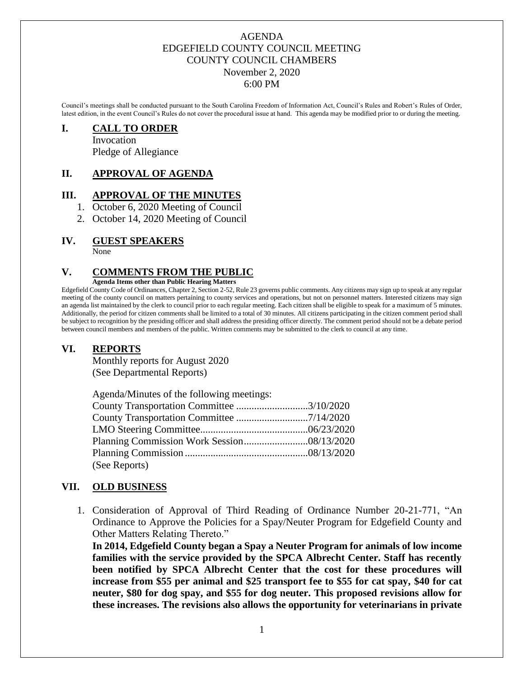#### AGENDA EDGEFIELD COUNTY COUNCIL MEETING COUNTY COUNCIL CHAMBERS November 2, 2020 6:00 PM

Council's meetings shall be conducted pursuant to the South Carolina Freedom of Information Act, Council's Rules and Robert's Rules of Order, latest edition, in the event Council's Rules do not cover the procedural issue at hand. This agenda may be modified prior to or during the meeting.

#### **I. CALL TO ORDER**

Invocation Pledge of Allegiance

## **II. APPROVAL OF AGENDA**

#### **III. APPROVAL OF THE MINUTES**

- 1. October 6, 2020 Meeting of Council
- 2. October 14, 2020 Meeting of Council

#### **IV. GUEST SPEAKERS**

None

#### **V. COMMENTS FROM THE PUBLIC**

**Agenda Items other than Public Hearing Matters**

Edgefield County Code of Ordinances, Chapter 2, Section 2-52, Rule 23 governs public comments. Any citizens may sign up to speak at any regular meeting of the county council on matters pertaining to county services and operations, but not on personnel matters. Interested citizens may sign an agenda list maintained by the clerk to council prior to each regular meeting. Each citizen shall be eligible to speak for a maximum of 5 minutes. Additionally, the period for citizen comments shall be limited to a total of 30 minutes. All citizens participating in the citizen comment period shall be subject to recognition by the presiding officer and shall address the presiding officer directly. The comment period should not be a debate period between council members and members of the public. Written comments may be submitted to the clerk to council at any time.

#### **VI. REPORTS**

Monthly reports for August 2020 (See Departmental Reports)

| Agenda/Minutes of the following meetings: |  |
|-------------------------------------------|--|
| County Transportation Committee 3/10/2020 |  |
|                                           |  |
|                                           |  |
|                                           |  |
|                                           |  |
| (See Reports)                             |  |

#### **VII. OLD BUSINESS**

1. Consideration of Approval of Third Reading of Ordinance Number 20-21-771, "An Ordinance to Approve the Policies for a Spay/Neuter Program for Edgefield County and Other Matters Relating Thereto."

**In 2014, Edgefield County began a Spay a Neuter Program for animals of low income families with the service provided by the SPCA Albrecht Center. Staff has recently been notified by SPCA Albrecht Center that the cost for these procedures will increase from \$55 per animal and \$25 transport fee to \$55 for cat spay, \$40 for cat neuter, \$80 for dog spay, and \$55 for dog neuter. This proposed revisions allow for these increases. The revisions also allows the opportunity for veterinarians in private**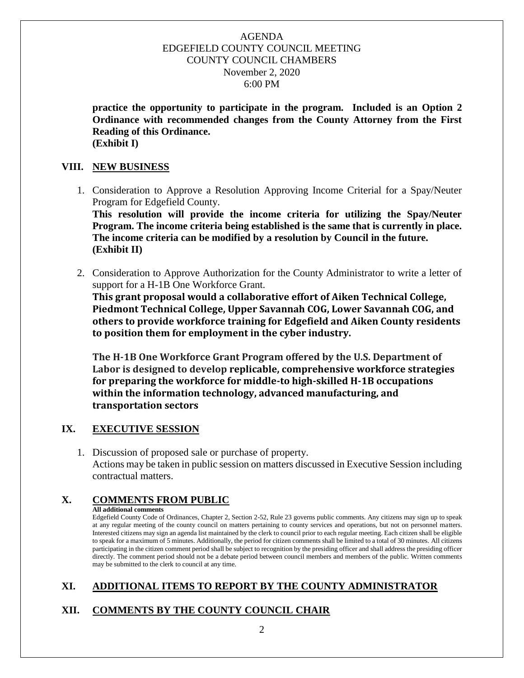#### AGENDA EDGEFIELD COUNTY COUNCIL MEETING COUNTY COUNCIL CHAMBERS November 2, 2020 6:00 PM

**practice the opportunity to participate in the program. Included is an Option 2 Ordinance with recommended changes from the County Attorney from the First Reading of this Ordinance. (Exhibit I)**

#### **VIII. NEW BUSINESS**

1. Consideration to Approve a Resolution Approving Income Criterial for a Spay/Neuter Program for Edgefield County. **This resolution will provide the income criteria for utilizing the Spay/Neuter** 

**Program. The income criteria being established is the same that is currently in place. The income criteria can be modified by a resolution by Council in the future. (Exhibit II)**

2. Consideration to Approve Authorization for the County Administrator to write a letter of support for a H-1B One Workforce Grant.

**This grant proposal would a collaborative effort of Aiken Technical College, Piedmont Technical College, Upper Savannah COG, Lower Savannah COG, and others to provide workforce training for Edgefield and Aiken County residents to position them for employment in the cyber industry.** 

**The H-1B One Workforce Grant Program offered by the U.S. Department of Labor is designed to develop replicable, comprehensive workforce strategies for preparing the workforce for middle-to high-skilled H-1B occupations within the information technology, advanced manufacturing, and transportation sectors**

## **IX. EXECUTIVE SESSION**

1. Discussion of proposed sale or purchase of property. Actions may be taken in public session on matters discussed in Executive Session including contractual matters.

## **X. COMMENTS FROM PUBLIC**

**All additional comments**

Edgefield County Code of Ordinances, Chapter 2, Section 2-52, Rule 23 governs public comments. Any citizens may sign up to speak at any regular meeting of the county council on matters pertaining to county services and operations, but not on personnel matters. Interested citizens may sign an agenda list maintained by the clerk to council prior to each regular meeting. Each citizen shall be eligible to speak for a maximum of 5 minutes. Additionally, the period for citizen comments shall be limited to a total of 30 minutes. All citizens participating in the citizen comment period shall be subject to recognition by the presiding officer and shall address the presiding officer directly. The comment period should not be a debate period between council members and members of the public. Written comments may be submitted to the clerk to council at any time.

## **XI. ADDITIONAL ITEMS TO REPORT BY THE COUNTY ADMINISTRATOR**

# **XII. COMMENTS BY THE COUNTY COUNCIL CHAIR**